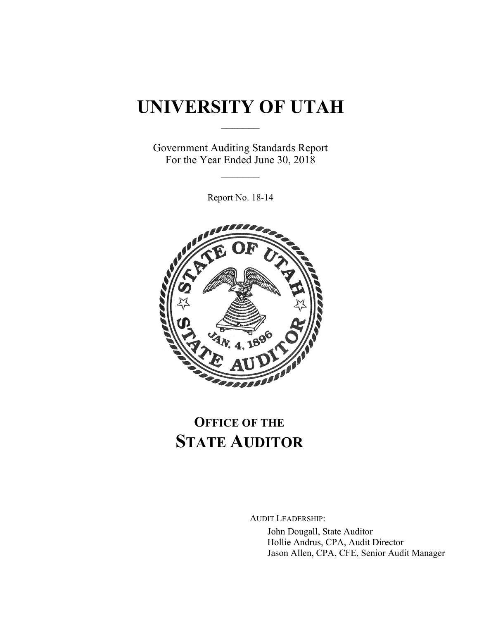# **UNIVERSITY OF UTAH**  $\frac{1}{2}$

Government Auditing Standards Report For the Year Ended June 30, 2018

 $\mathcal{L}_\text{max}$ 

Report No. 18-14



# **OFFICE OF THE STATE AUDITOR**

AUDIT LEADERSHIP:

John Dougall, State Auditor Hollie Andrus, CPA, Audit Director Jason Allen, CPA, CFE, Senior Audit Manager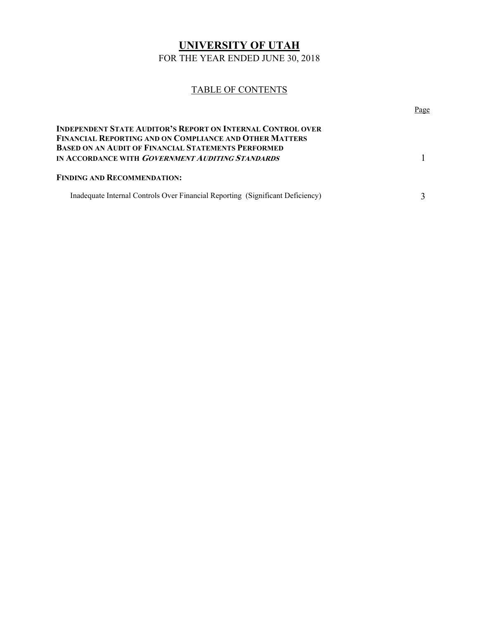# **UNIVERSITY OF UTAH**

FOR THE YEAR ENDED JUNE 30, 2018

# TABLE OF CONTENTS

|                                                                                                                                                                                                    | Page |
|----------------------------------------------------------------------------------------------------------------------------------------------------------------------------------------------------|------|
| <b>INDEPENDENT STATE AUDITOR'S REPORT ON INTERNAL CONTROL OVER</b><br><b>FINANCIAL REPORTING AND ON COMPLIANCE AND OTHER MATTERS</b><br><b>BASED ON AN AUDIT OF FINANCIAL STATEMENTS PERFORMED</b> |      |
| IN ACCORDANCE WITH <i>GOVERNMENT AUDITING STANDARDS</i>                                                                                                                                            |      |
| <b>FINDING AND RECOMMENDATION:</b>                                                                                                                                                                 |      |
| Inadequate Internal Controls Over Financial Reporting (Significant Deficiency)                                                                                                                     |      |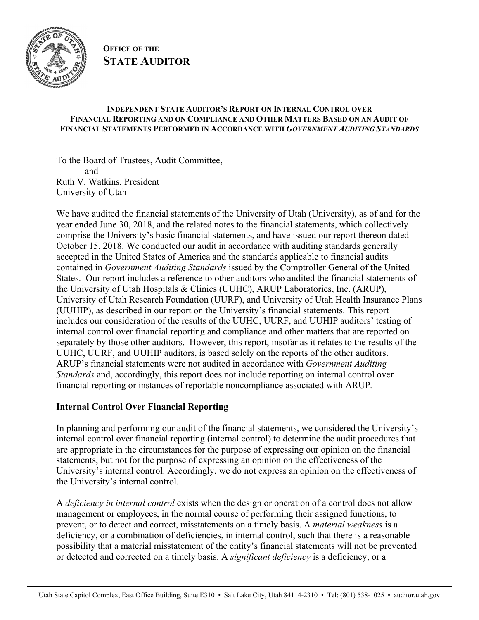

**OFFICE OF THE STATE AUDITOR**

#### **INDEPENDENT STATE AUDITOR'S REPORT ON INTERNAL CONTROL OVER FINANCIAL REPORTING AND ON COMPLIANCE AND OTHER MATTERS BASED ON AN AUDIT OF FINANCIAL STATEMENTS PERFORMED IN ACCORDANCE WITH** *GOVERNMENT AUDITING STANDARDS*

To the Board of Trustees, Audit Committee, and Ruth V. Watkins, President University of Utah

We have audited the financial statements of the University of Utah (University), as of and for the year ended June 30, 2018, and the related notes to the financial statements, which collectively comprise the University's basic financial statements, and have issued our report thereon dated October 15, 2018. We conducted our audit in accordance with auditing standards generally accepted in the United States of America and the standards applicable to financial audits contained in *Government Auditing Standards* issued by the Comptroller General of the United States. Our report includes a reference to other auditors who audited the financial statements of the University of Utah Hospitals & Clinics (UUHC), ARUP Laboratories, Inc. (ARUP), University of Utah Research Foundation (UURF), and University of Utah Health Insurance Plans (UUHIP), as described in our report on the University's financial statements. This report includes our consideration of the results of the UUHC, UURF, and UUHIP auditors' testing of internal control over financial reporting and compliance and other matters that are reported on separately by those other auditors. However, this report, insofar as it relates to the results of the UUHC, UURF, and UUHIP auditors, is based solely on the reports of the other auditors. ARUP's financial statements were not audited in accordance with *Government Auditing Standards* and, accordingly, this report does not include reporting on internal control over financial reporting or instances of reportable noncompliance associated with ARUP*.* 

### **Internal Control Over Financial Reporting**

In planning and performing our audit of the financial statements, we considered the University's internal control over financial reporting (internal control) to determine the audit procedures that are appropriate in the circumstances for the purpose of expressing our opinion on the financial statements, but not for the purpose of expressing an opinion on the effectiveness of the University's internal control. Accordingly, we do not express an opinion on the effectiveness of the University's internal control.

A *deficiency in internal control* exists when the design or operation of a control does not allow management or employees, in the normal course of performing their assigned functions, to prevent, or to detect and correct, misstatements on a timely basis. A *material weakness* is a deficiency, or a combination of deficiencies, in internal control, such that there is a reasonable possibility that a material misstatement of the entity's financial statements will not be prevented or detected and corrected on a timely basis. A *significant deficiency* is a deficiency, or a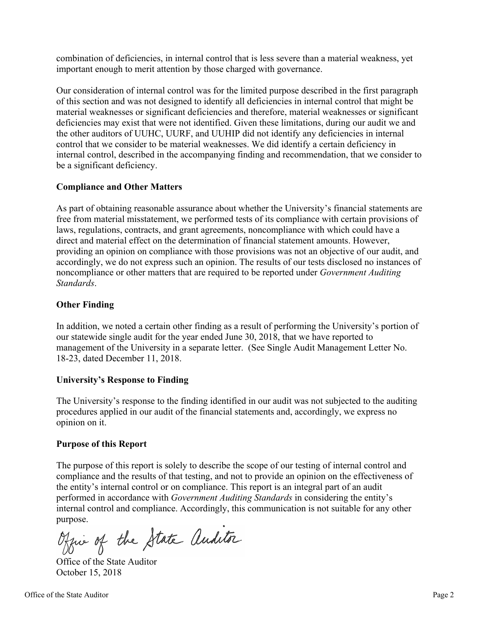combination of deficiencies, in internal control that is less severe than a material weakness, yet important enough to merit attention by those charged with governance.

Our consideration of internal control was for the limited purpose described in the first paragraph of this section and was not designed to identify all deficiencies in internal control that might be material weaknesses or significant deficiencies and therefore, material weaknesses or significant deficiencies may exist that were not identified. Given these limitations, during our audit we and the other auditors of UUHC, UURF, and UUHIP did not identify any deficiencies in internal control that we consider to be material weaknesses. We did identify a certain deficiency in internal control, described in the accompanying finding and recommendation, that we consider to be a significant deficiency.

### **Compliance and Other Matters**

As part of obtaining reasonable assurance about whether the University's financial statements are free from material misstatement, we performed tests of its compliance with certain provisions of laws, regulations, contracts, and grant agreements, noncompliance with which could have a direct and material effect on the determination of financial statement amounts. However, providing an opinion on compliance with those provisions was not an objective of our audit, and accordingly, we do not express such an opinion. The results of our tests disclosed no instances of noncompliance or other matters that are required to be reported under *Government Auditing Standards*.

# **Other Finding**

In addition, we noted a certain other finding as a result of performing the University's portion of our statewide single audit for the year ended June 30, 2018, that we have reported to management of the University in a separate letter. (See Single Audit Management Letter No. 18-23, dated December 11, 2018.

### **University's Response to Finding**

The University's response to the finding identified in our audit was not subjected to the auditing procedures applied in our audit of the financial statements and, accordingly, we express no opinion on it.

### **Purpose of this Report**

The purpose of this report is solely to describe the scope of our testing of internal control and compliance and the results of that testing, and not to provide an opinion on the effectiveness of the entity's internal control or on compliance. This report is an integral part of an audit performed in accordance with *Government Auditing Standards* in considering the entity's internal control and compliance. Accordingly, this communication is not suitable for any other purpose.

Office of the State Auditor

Office of the State Auditor October 15, 2018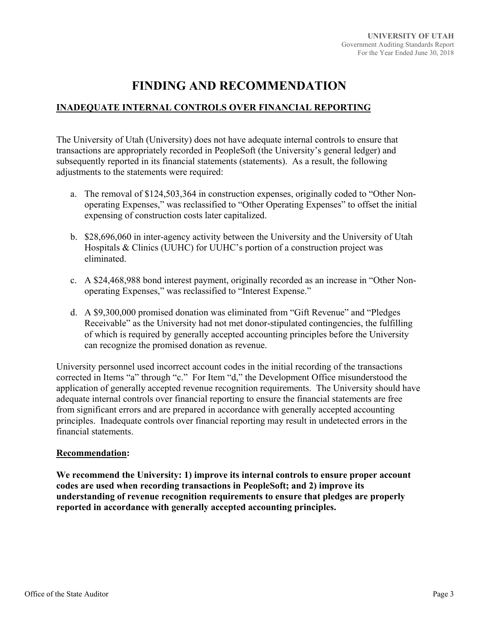# **FINDING AND RECOMMENDATION**

# **INADEQUATE INTERNAL CONTROLS OVER FINANCIAL REPORTING**

The University of Utah (University) does not have adequate internal controls to ensure that transactions are appropriately recorded in PeopleSoft (the University's general ledger) and subsequently reported in its financial statements (statements). As a result, the following adjustments to the statements were required:

- a. The removal of \$124,503,364 in construction expenses, originally coded to "Other Nonoperating Expenses," was reclassified to "Other Operating Expenses" to offset the initial expensing of construction costs later capitalized.
- b. \$28,696,060 in inter-agency activity between the University and the University of Utah Hospitals & Clinics (UUHC) for UUHC's portion of a construction project was eliminated.
- c. A \$24,468,988 bond interest payment, originally recorded as an increase in "Other Nonoperating Expenses," was reclassified to "Interest Expense."
- d. A \$9,300,000 promised donation was eliminated from "Gift Revenue" and "Pledges Receivable" as the University had not met donor-stipulated contingencies, the fulfilling of which is required by generally accepted accounting principles before the University can recognize the promised donation as revenue.

University personnel used incorrect account codes in the initial recording of the transactions corrected in Items "a" through "c." For Item "d," the Development Office misunderstood the application of generally accepted revenue recognition requirements. The University should have adequate internal controls over financial reporting to ensure the financial statements are free from significant errors and are prepared in accordance with generally accepted accounting principles. Inadequate controls over financial reporting may result in undetected errors in the financial statements.

#### **Recommendation:**

**We recommend the University: 1) improve its internal controls to ensure proper account codes are used when recording transactions in PeopleSoft; and 2) improve its understanding of revenue recognition requirements to ensure that pledges are properly reported in accordance with generally accepted accounting principles.**